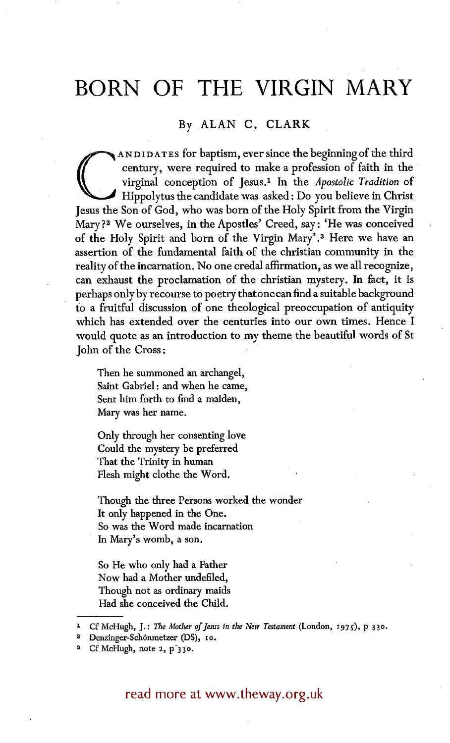# **BORN OF THE VIRGIN MARY**

# By ALAN C. CLARK

**CONDUDATES for baptism, ever since the beginning of the third century, were required to make a profession of faith in the virginal conception of Jesus.<sup>1</sup> In the** *Apostolic Tradition* **of Hippolytus the candidate was asked** century, were required to make a profession of faith in the virginal conception of Jesus. 1 In the *Apostolic Tradition* of Hippolytus the candidate was asked: Do you believe in Christ Jesus the Son of God, who was born of the Holy Spirit from the Virgin Mary?<sup>2</sup> We ourselves, in the Apostles' Creed, say: 'He was conceived of the Holy Spirit and born of the Virgin Mary'. 3 Here we have an assertion of the fundamental faith of the christian community in the reality of the incarnation. No one credal affirmation, as we all recognize, can exhaust the proclamation of the christian mystery. In fact, it is perhaps only by recourse to poetry that one can find a suitable background to a fruitful discussion of one theological preoccupation of antiquity which has extended over the centuries into our own times. Hence I would quote as an introduction to my theme the beautiful words of St John of the Cross :

Then he summoned an archangel, Saint Gabriel : and when he came, Sent him forth to find a maiden, Mary was her name.

Only through her consenting love Could the mystery be preferred That the Trinity in human Flesh might clothe the Word.

Though the three Persons worked the wonder It only happened in the One. So was the Word made incarnation In Mary's womb, a son.

So He who only had a Father Now had a Mother undefiled, Though not as ordinary maids Had she conceived the Child.

1 Cf McHugh, J.: *The Mother of Jesus in the New Testament* (London, 1975), p 330.

read more at www.theway.org.uk

Denzinger-Schönmetzer (DS), 10.

Cf McHugh, note 2, p<sup>330</sup>.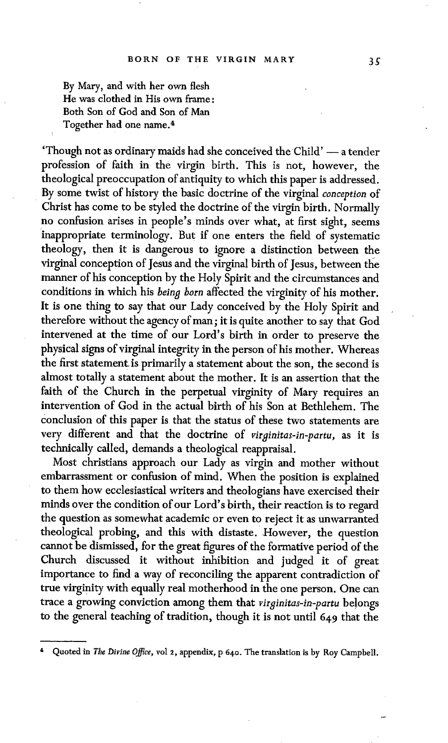By Mary, and with her own flesh He was clothed in His own frame: Both Son of God and Son of Man Together had one name. 4

'Though not as ordinary maids had she conceived the Child' - a tender profession of faith in the virgin birth. This is not, however, the theological preoccupation of antiquity to which this paper is addressed. By some twist of history the basic doctrine of the virginal *conception* of Christ has come to be styled the doctrine of the virgin birth. Normally no confusion arises in people's minds over what, at first sight, seems inappropriate terminology. But if one enters the field of systematic theology, then it is dangerous to ignore a distinction between the virginal conception of Jesus and the virginal birth of Jesus, between the manner of his conception by the Holy Spirit and the circumstances and conditions in which his *being born* affected the virginity of his mother. It is one thing to say that our Lady conceived by the Holy Spirit and therefore without the agency of man; it is quite another to say that God intervened at the time of our Lord's birth in order to preserve the physical signs of virginal integrity in the person of his mother. Whereas the first statement is primarily a statement about the son, the second is almost totally a statement about the mother. It is an assertion that the faith of the Church in the perpetual virginity of Mary requires an intervention of God in the actual birth of his Son at Bethlehem. The conclusion of this paper is that the status of these two statements are very different and that the doctrine of *virginitas-in-partu,* as it is technically called, demands a theological reappraisal.

Most christians approach our Lady as virgin and mother without embarrassment or confusion of mind. When the position is explained to them how ecclesiastical writers and theologians have exercised their minds over the condition of our Lord's birth, their reaction is to regard the question as somewhat academic or even to reject it as unwarranted theological probing, and this with distaste. However, the question cannot be dismissed, for the great figures of the formative period of the Church discussed it without inhibition and judged it of great importance to find a way of reconciling the apparent contradiction of true virginity with equally real motherhood in the one person. One can trace a growing conviction among them that *virginitas-in-partu* belongs to the general teaching of tradition, though it is not until 649 that the

Quoted in *The Divine Office*, vol 2, appendix, p 640. The translation is by Roy Campbell.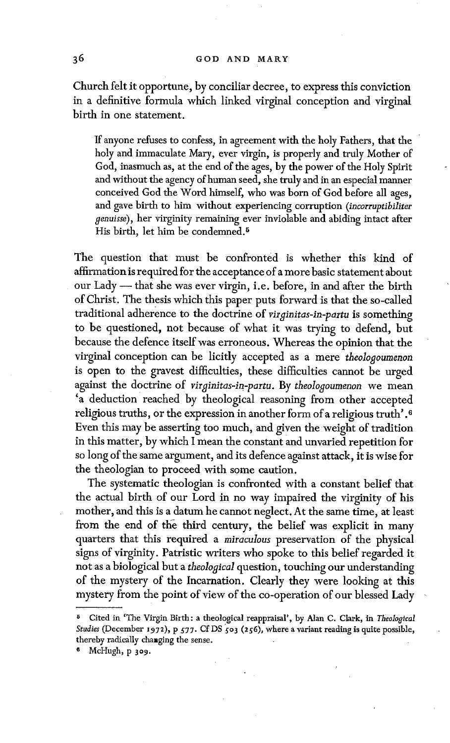Church felt it opportune, by conciliar decree, to express this conviction in a definitive formula which linked virginal conception and virginal birth in one statement.

If anyone refuses to confess, in agreement with the holy Fathers, that the holy and immaculate Mary, ever virgin, is properly and truly Mother of God, inasmuch as, at the end of the ages, by the power of the Holy Spirit and without the agency of human seed, she truly and in an especial manner conceived God the Word himself, who was born of God before all ages, and gave birth to him without experiencing corruption *(incorruptibiliter genuisse),* her virginity remaining ever inviolable and abiding intact after His birth, let him be condemned.<sup>5</sup>

The question that must be confronted is whether this kind of affirmation is required for the acceptance of a more basic statement about our Lady -- that she was ever virgin, i.e. before, in and after the birth of Christ. The thesis which this paper puts forward is that the so-called traditional adherence to the doctrine of *virginitas-in-partu* is something to be questioned, not because of what it was trying to defend, hut because the defence itself was erroneous. Whereas the opinion that the virginal conception can be licitly accepted as a mere *theologoumenon*  is open to the gravest difficulties, these difficulties cannot be urged against the doctrine of *virginitas-in-partu.* By *theoIogoumenon* we mean 'a deduction reached by theological reasoning from other accepted religious truths, or the expression in another form of a religious truth' .6 Even this may be asserting too much, and given the weight of tradition in this matter, by which I mean the constant and unvaried repetition for so long of the same argument, and its defence against attack, it is wise for the theologian to proceed with some caution.

The systematic theologian is confronted with a constant belief that the actual birth of our Lord in no way impaired the virginity of his mother, and this is a datum he cannot neglect. At the same time, at least from the end of the third century, the belief was explicit in many quarters that this required a *miraculous* preservation of the physical signs of virginity. Patristic writers who spoke to this belief regarded it not as a biological but a *theological* question, touching our understanding of the mystery of the Incarnation. Clearly they were looking at this mystery from the point of view of the co-operation of our blessed Lady

<sup>5</sup> Cited in 'The Virgin Birth: a theological reappraisal', by Alan C. Clark, in *Tlieologtcal*  Studies (December 1972), p 577. Cf DS 503 (256), where a variant reading is quite possible, thereby radically changing the sense.

McHugh, p 309.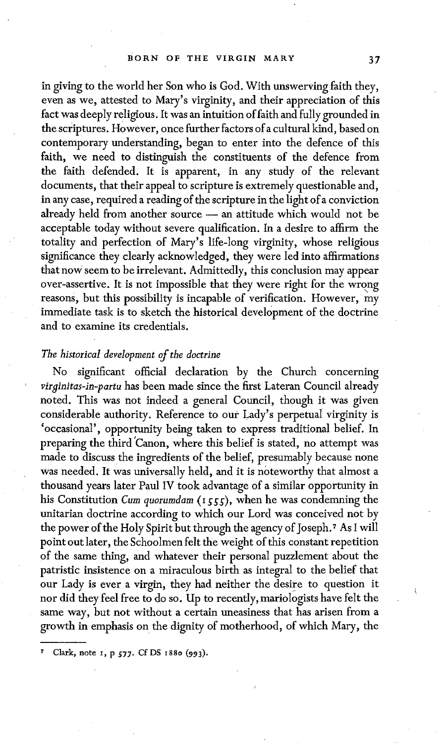in giving to the world her Son who is God. With unswerving faith they, even as we, attested to Mary's virginity, and their appreciation of this fact was deeply religious. It was an intuition of faith and fully grounded in the scriptures. However, once further factors of a cultural kind, based on contemporary understanding, began to enter into the defence of this faith, we need to distinguish the constituents of the defence from the faith defended. It is apparent, in any study of the relevant documents, that their appeal to scripture is extremely questionable and, in any case, required a reading of the scripture in the light of a conviction already held from another source -- an attitude which would not be acceptable today without severe qualification. In a desire to affirm the totality and perfection of Mary's life-long virginity, whose religious significance they clearly acknowledged, they were led into affirmations that now seem to be irrelevant. Admittedly, this conclusion may appear over-assertive. It is not impossible that they were right for the wrong reasons, but this possibility is incapable of verification. However, my immediate task is to sketch the historical development of the doctrine and to examine its credentials.

## *The historical development of the doctrine*

No significant official declaration by the Church concerning *virginitas-in-partu* has been made since the first Lateran Council already noted. This was not indeed a general Council, though it was given considerable authority. Reference to our Lady's perpetual virginity is 'occasional', opportunity being taken to express traditional belief. In preparing the third 'Canon, where this belief is stated, no attempt was made to discuss the ingredients of the belief, presumably because none was needed. It was universally held, and it is noteworthy that ahnost a thousand years later Paul IV took advantage of a similar opportmaity in his Constitution *Cum quorumdam* (1555), when he was condemning the unitarian doctrine according to which our Lord was conceived not by the power of the Holy Spirit but through the agency of Joseph.<sup>7</sup> As I will point out later, the Schoolmen felt the weight of this constant repetition of the same thing, and whatever their personal puzzlement about the patristic insistence on a miraculous birth as integral to the belief that our Lady is ever a virgin, they had neither the desire to question it nor did they feel free to do so. Up to recently, mariologists have felt the same way, but not without a certain uneasiness that has arisen from a growth in emphasis on the dignity of motherhood, of which Mary, the

Clark, note 1, p 577. Cf DS 1880 (993).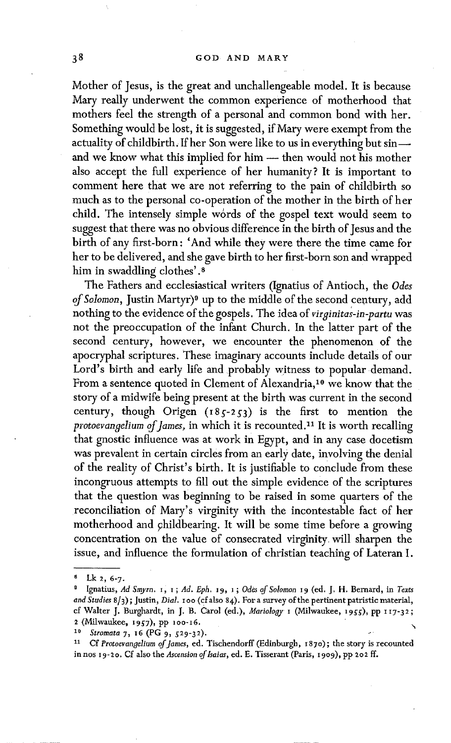Mother of Jesus, is the great and unchallengeable model. It is because Mary really underwent the common experience of motherhood that mothers feel the strength of a personal and common bond with her. Something would be lost, it is suggested, if Mary were exempt from the actuality of childbirth. If her Son were like to us in everything but sin- and we know what this implied for him -- then would not his mother also accept the full experience of her humanity? It is important to comment here that we are not referring to the pain of childbirth so much as to the personal co-operation of the mother in the birth of her child. The intensely simple words of the gospel text would seem to suggest that there was no obvious difference in the birth of Jesus and the birth of any first-born: 'And while they were there the time came for her to be delivered, and she gave birth to her first-born son and Wrapped him in swaddling clothes'.<sup>8</sup>

The Fathers and ecclesiastical writers (Ignatius of Antioch, the *Odes of Solomon,* Justin Martyr) ° up to the middle of the second century, add nothing to the evidence of the gospels. The idea of *virginitas-in-partu* was not the preoccupation of the infant Church. In the latter part of the second century, however, we encounter the phenomenon of the apocryphal scriptures. These imaginary accounts include details of our Lord's birth and early life and probably witness to popular demand. From a sentence quoted in Clement of Alexandria,<sup>10</sup> we know that the story of a midwife being present at the birth was current in the second century, though Origen  $(185-253)$  is the first to mention the *protoevangelium of James, in which it is recounted.<sup>11</sup> It is worth recalling* that gnostic influence was at work in Egypt, and in any case docetism was prevalent in certain circles from an early date, involving the denial of the reality of Christ's birth. It is justifiable to conclude from these incongruous attempts to fill out the simple evidence of the scriptures that the question was beginning to be raised in some quarters of the reconciliation of Mary's virginity with the incontestable fact of her motherhood and childbearing. It will be some time before a growing concentration on the value of consecrated virginity will sharpen the issue, and influence the formulation of christian teaching of Lateran I.

*<sup>8</sup> Lk 2, 6-7.* 

<sup>&</sup>lt;sup>9</sup> Ignatius, Ad Smyrn. 1, 1; Ad. Eph. 19, 1; Odes of Solomon 19 (ed. J. H. Bernard, in Texts *and Studies* 8/3) ; Justin, *Dial.* I oo (cfalso 84). For a survey of the pertinent patristic material, cf Walter J. Burghardt, in J. B. Carol (ed.), *Mariology I* (Milwaukee, 1955), pp 117-32; 2 (Milwaukee, 1957), pp 100-16.

<sup>10</sup> *Stromata 7*, 16 (PG 9, 529-32).

<sup>11</sup> Cf *Protoevangelium of James,* ed. Tischendorff (Edinburgh, 1870) ; the story is recounted in nos 19-20. Cf also the *Ascension of Isaias*, ed. E. Tisserant (Paris, 1909), pp 202 ff.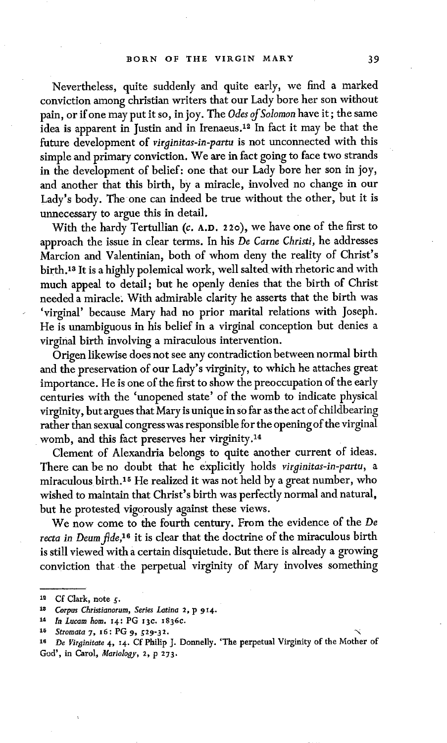Nevertheless, quite suddenly and quite early, we find a marked conviction among christian writers that our Lady bore her son without pain, or if one may put it so, in joy. The *Odes of SoIoraon* have it; the same idea is apparent in Justin and in Irenaeus.<sup>12</sup> In fact it may be that the future development of *virginitas-in-partu* is not unconnected with this simple and primary conviction. We are in fact going to face two strands in the development of belief: one that our Lady bore her son in joy, and another that this birth, by a miracle, involved no change in our Lady's body. The one can indeed be true without the other, but it is unnecessary to argue this in detail.

With the hardy Tertullian (c. A.D. 220), we have one of the first to approach the issue in clear terms. In his *De Came Christi,* he addresses Marcion and Valentinian, both of whom deny the reality of Christ's birth. 13 It is a highly polemical work, well salted with rhetoric and with much appeal to detail; but he openly denies that the birth of Christ needed a miracle. With admirable clarity he asserts that the birth was 'virginal' because Mary had no prior marital relations with Joseph. He is unambiguous in his belief in a virginal conception but denies a virginal birth involving a miraculous intervention.

Origen likewise does not see any contradiction between normal birth and the preservation of our Lady's virginity, to which he attaches great importance. He is one of the first to show the preoccupation of the early centuries with the 'unopened state' of the womb to indicate physical virginity, but argues that Mary is unique in so far as the act of childbearing rather than sexual congress was responsible for the opening of the virginal womb, and this fact preserves her virginity.<sup>14</sup>

Clement of Alexandria belongs to quite another current of ideas. There can be no doubt that he explicitly holds *virginitas-in-partu, a*  miraculous birth. 15 He realized it was not held by a great number, who wished to maintain that Christ's birth was perfectly normal and natural, but he protested vigorously against these views.

We now come to the fourth century. From the evidence of the *De*  recta in Deum fide,<sup>16</sup> it is clear that the doctrine of the miraculous birth is still viewed with a certain disquietude. But there is already a growing conviction that the perpetual virginity of Mary involves something

 $12$  Cf Clark, note  $\zeta$ .

*<sup>18</sup> Corpus Christianorum, Series Latina 2, p 914.* 

*z~ In Lucam horn.* I4: PG x3c. I836c.

<sup>&</sup>lt;sup>15</sup> *Stromata 7, 16: PG 9, 529-32.* 

*<sup>1~</sup> De Virginitate* 4, I4. Cf Philip J. Donnelly. 'The perpetual Virginity of the Mother of God', in Caro]~ *Mariology, 2, p 273.*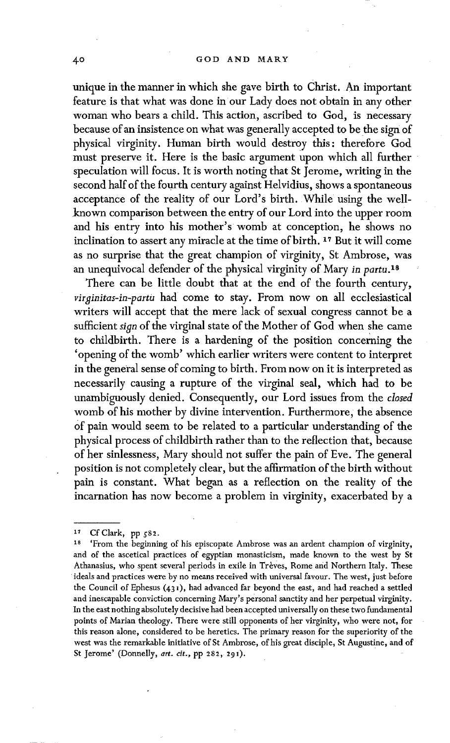unique in the manner in which she gave birth to Christ. An important feature is that what was done in our Lady does not obtain in any other woman who bears a child. This action, ascribed to God, is necessary because of an insistence on what was generally accepted to be the sign of physical virginity. Human birth would destroy this: therefore God must preserve it. Here is the basic argument upon which all further speculation will focus. It is worth noting that St Jerome, writing in the second half of the fourth century against Helvidius, shows a spontaneous acceptance of the reality of our Lord's birth. While using the wellknown comparison between the entry of our Lord into the upper room and his entry into his mother's womb at conception, he shows no inclination to assert any miracle at the time of birth. 17 But it will come as no surprise that the great champion of virginity, St Ambrose, was an unequivocal defender of the physical virginity of Mary *in partu*.<sup>18</sup>

There can be little doubt that at the end of the fourth century, virginitas-in-partu had come to stay. From now on all ecclesiastical writers will accept that the mere lack of sexual congress cannot be a sufficient *sign* of the virginal state of the Mother of God when she came to childbirth. There is a hardening of the position concerning the 'opening of the womb' which earlier writers were content to interpret in the general sense of coming to birth. From now on it is interpreted as necessarily causing a rupture of the virginal seal, which had to be unambiguously denied. Consequently, our Lord issues from the *dosed*  womb of his mother by divine intervention. Furthermore; the absence Of pain would seem to be related to a particular understanding of the physical process of childbirth rather than to the reflection that, because of her sinlessness, Mary should not suffer the pain of Eve. The general position is not completely clear, but the affirmation of the birth without pain is constant. What began as a reflection on the reality of the incarnation has now become a problem in virginity, exacerbated by a

<sup>17</sup> CfClark, pp 582.

<sup>&#</sup>x27;From the beginning of his episcopate Ambrose was an ardent champion of virginity, and of the ascetical practices of egyptian monasticism, made known to the west by St Athanasius, who spent several periods in exile in Trèves, Rome and Northern Italy. These ideals and practices were by no means received with universal favour. The west, just before the Council of Ephesus (431), had advanced far beyond the east, and had reached a settled and inescapable conviction concerning Mary's personal sanctity and her perpetual virginity. In the east nothing absolutely decisive had been accepted universally on these two fundamental points of Marian theology. There were still opponents of her virginity, who were not, for this reason alone, considered to be heretics. The primary reason for the superiority of the west was the remarkable initiative of St Ambrose, of his great disciple, St Augustine, and of St Jerome' (Donnelly, *art. cit.,* pp 282, 291).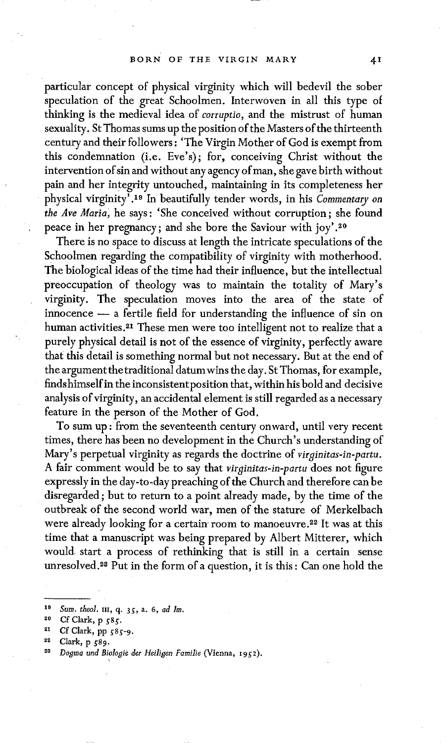particular concept of physical virginity which will bedevil the sober speculation of the great Schoolmen. Interwoven in all this type of thinking is the medieval idea of *corruptio,* and the mistrust of human sexuality. St Thomas sums up the position of the Masters of the thirteenth century and their followers : 'The Virgin Mother of God is exempt from this condemnation (i.e. Eve's); for, conceiving Christ without the intervention of sin and without any agency of man, she gave birth without pain and her integrity untouched, maintaining in its completeness her physical virginity' .19 In beautifully tender words, in his *Commentary on the Ave Maria~* he says: 'She conceived without corruption; she found peace in her pregnancy; and she bore the Saviour with joy'. 2°

There is no space to discuss at length the intricate speculations of the Schoolmen regarding the compatibility of virginity with motherhood. The biological ideas of the time had their influence, but the intellectual preoccupation of theology was to maintain the totality of Mary's virginity. The speculation moves into the area of the state of innocence -- a fertile field for understanding the influence of sin on human activities.<sup>21</sup> These men were too intelligent not to realize that a purely physical detail is not of the essence of virginity, perfectly aware that this detail is something normal but not necessary. But at the end of the argument the traditional datumwins the day. St Thomas, for example, finds himself in the inconsistent position that, within his bold and decisive analysis of virginity, an accidental element is still regarded as a necessary feature in the person of the Mother of God.

To sum up: from the seventeenth century onward, until very recent times, there has been no development in the Church's understanding of Mary's perpetual virginity as regards the doctrine of *virginitas-in-partu.*  A fair comment would be to say that *virginitas-in-partu* does not figure expressly in the day-to-day preaching of the Church and therefore can be disregarded ; but to return to a point already made, by the time of the outbreak of the second world war, men of the stature of Merkelbach were already looking for a certain room to manoeuvre.<sup>22</sup> It was at this time that a manuscript was being prepared by Albert Mitterer, which would start a process of rethinking that is still in a certain sense unresolved. 28 Put in the form of a question, it is this : Can one hold the

<sup>&</sup>lt;sup>19</sup> Sum. theol. III, q. 35, a. 6, *ad Im*.

<sup>20</sup> Cf Clark, p 585.

<sup>21</sup> **Cf Clark, pp** g85-9.

Clark, p 589.

*<sup>22</sup> Dogma und Biologic der Heiligen Familie* (Vienna, z952 ).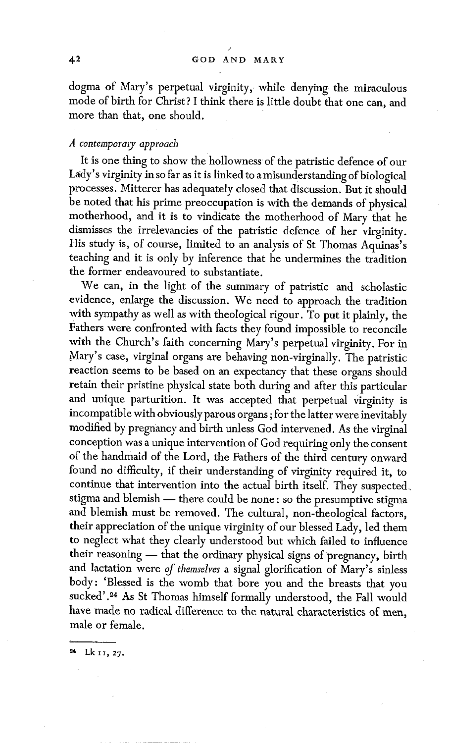/

dogma of Mary's perpetual virginity, while denying the miraculous mode of birth for Christ? I think there is little doubt that one can, and more than that, one should.

### *A contempormy approach*

It is one thing to show the hollowness of the patristic defence of our Lady's virginity in so far as it is linked to a misunderstanding of biological processes. Mitterer has adequately closed that discussion. But it should be noted that his prime preoccupation is with the demands of physical motherhood, and it is to vindicate the motherhood of Mary that he dismisses the irrelevancies of the patristic defence of her virginity. His study is, of course, limited to an analysis of St Thomas Aquinas's teaching and it is only by inference that he undermines the tradition the former endeavoured to substantiate.

We can, in the light of the summary of patristic and scholastic evidence, enlarge the discussion, we need to approach the tradition with sympathy as well as with theological rigour. To put it plainly, the Fathers were confronted with facts they found impossible to reconcile with the Church's faith concerning Mary's perpetual virginity. For in Mary's case, virginal organs are behaving non-virginally. The patristic reaction seems to be based on an expectancy that these organs should retain their pristine physical state both during and after this particular and unique parturition. It was accepted that perpetual virginity is incompatible with obviously parous organs; for the latter were inevitably modified by pregnancy and birth unless God intervened. As the virginal conception was a unique intervention of God requiring only the consent of the handmaid of the Lord, the Fathers of the third century onward found no difficulty, if their understanding of virginity required it, to continue that intervention into the actual birth itself. They suspected. stigma and blemish - there could be none : so the presumptive stigma and blemish must be removed. The cultural, non-theological factors, their appreciation of the unique virginity of our blessed Lady, led them to neglect what they clearly understood but which failed to influence their reasoning -- that the ordinary physical signs of pregnancy, birth and lactation were of *themselves* a signal glorification of Mary's sinless body: 'Blessed is the womb that bore yon and the breasts that you sucked'.<sup>24</sup> As St Thomas himself formally understood, the Fall would have made no radical difference to the natural characteristics of men, male or female.

**2~ Lk I~, 27.**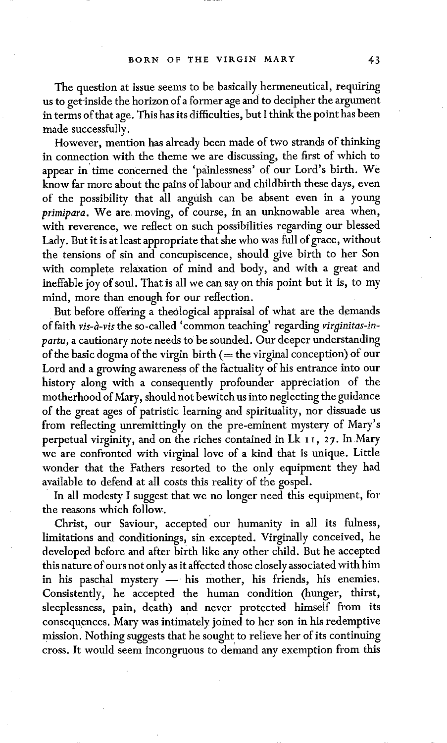The question at issue seems to be basically hermeneutical, requiring us to get-inside the horizon of a former age and to decipher the argument in terms of that age. This has its difficulties, but I think the point has been made successfully.

However, mention has already been made of two strands of thinking in connection with the theme we are discussing, the first of which to appear in time concerned the 'painlessness' of our Lord's birth. We know far more about the pains of labour and childbirth these days, even of the possibility that all anguish can be absent even in a young *primipara.* We are moving, of course, in an unknowable area when, with reverence, we reflect on such possibilities regarding our blessed Lady. But it is at least appropriate that she who was full of grace, without the tensions of sin and concupiscence, should give birth to her Son with complete relaxation of mind and body, and with a great and ineffable joy of soul. That is all we can say on this point but it is, to my mind, more than enough for our reflection.

But before offering a theological appraisal of what are the demands of faith *vis-à-vis* the so-called 'common teaching' regarding *virginitas-inpartu,* a cautionary note needs to be sounded. Our deeper understanding of the basic dogma of the virgin birth  $($  = the virginal conception) of our Lord and a growing awareness of the factuality of his entrance into our history along with a consequently profounder appreciation of the motherhood of Mary, should not bewitch us into neglecting the guidance of the great ages of patristic learning and spirituality, nor dissuade us from reflecting unremittingly on the pre-eminent mystery of Mary's perpetual virginity, and on the riches contained in Lk 11, 27. In Mary we are confronted with virginal love of a kind that is unique. Little wonder that the Fathers resorted to the only equipment they had available to defend at all costs this reality of the gospel.

In all modesty I suggest that we no longer need this equipment, for the reasons which follow.

Christ, our Saviour, accepted our humanity in all its fulness, limitations and conditionings, sin excepted. Virginally conceived, he developed before and after birth like any other child. But he accepted this nature of ours not only as it affected those closely associated with him in his paschal mystery  $-$  his mother, his friends, his enemies. Consistently, he accepted the human condition (hunger, thirst, sleeplessness, pain, death) and never protected himself from its consequences. Mary was intimately joined to her son in his redemptive mission. Nothing suggests that he sought to relieve her of its continuing cross. It would seem incongruous to demand any exemption from this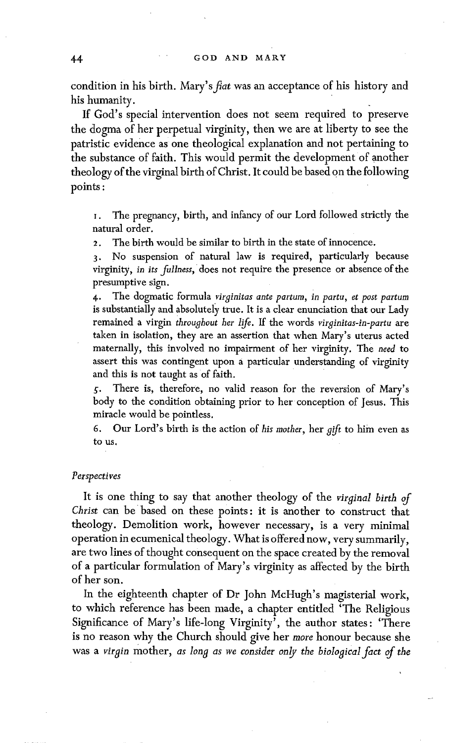condition in his birth. Mary's *fiat* was an acceptance of his history and his humanity.

If God's special intervention does not seem required to preserve the dogma of her perpetual virginity, then we are at liberty to see the patristic evidence as one theological explanation and not pertaining to the substance of faith. This would permit the development of another theology of the virginal birth of Christ. It could be based on the following points :

I. The pregnancy, birth, and infancy of our Lord followed strictly the natural order.

2. The birth would be similar to birth in the state of innocence.

3. No suspension of natural law is required, particularly because virginity, in *its fullness,* does not require the presence or absence of the presumptive sign.

4. The dogmatic formula *virginitas ante partum, in partu, et post partum*  is substantially and absolutely true. It is a clear enunciation that our Lady remained a virgin *throughout her life.* If the words *virginitas-in-partu* are taken in isolation, they are an assertion that when Mary's uterus acted maternally, this involved no impairment of her virginity. The *need* to assert this was contingent upon a particular understanding of virginity and this is not taught as of faith.

5. There is, therefore, no valid reason for the reversion of Mary's body to the condition obtaining prior to her conception of Jesus. This miracle would be pointless.

6. Our Lord's birth is the action of *his mother,* her gift to him even as to us.

### *Perspectives*

It is one thing to say that another theology of the *virginal birth of Christ* can be based on these points: it is another to construct that theology. Demolition work, however necessary, is a very minimal operation in ecumenical theology. What is offered now, very summarily, are two lines of thought consequent on the space created by the removal of a particular formulation of Mary's virginity as affected by the birth of her son.

In the eighteenth chapter of Dr John McHugh's magisterial work, to which reference has been made, a chapter entitled 'The Religious Significance of Mary's life-long Virginity', the author states: 'There is no reason why the Church should give her *more* honour because she was a *virgin* mother, *as long as we consider only the biological fact of the*